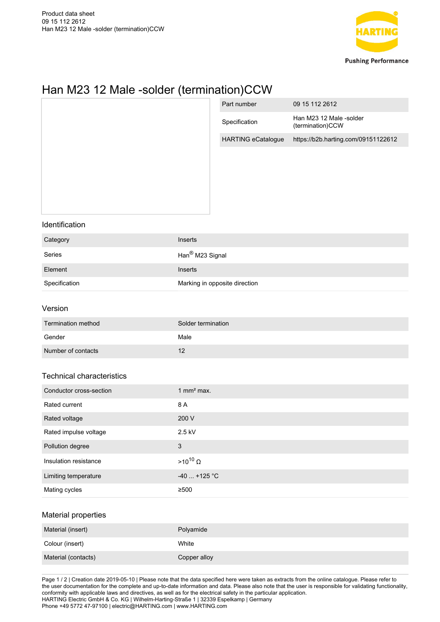

## Han M23 12 Male -solder (termination)CCW

|                                  |                             | Part number                   | 09 15 112 2612                              |
|----------------------------------|-----------------------------|-------------------------------|---------------------------------------------|
|                                  |                             | Specification                 | Han M23 12 Male -solder<br>(termination)CCW |
|                                  |                             | <b>HARTING eCatalogue</b>     | https://b2b.harting.com/09151122612         |
|                                  |                             |                               |                                             |
| Identification                   |                             |                               |                                             |
| Category                         | Inserts                     |                               |                                             |
| Series                           | Han <sup>®</sup> M23 Signal |                               |                                             |
| Element                          | Inserts                     |                               |                                             |
| Specification                    |                             | Marking in opposite direction |                                             |
| Version                          |                             |                               |                                             |
| Termination method               | Solder termination          |                               |                                             |
| Gender                           | Male                        |                               |                                             |
| Number of contacts               | 12                          |                               |                                             |
| <b>Technical characteristics</b> |                             |                               |                                             |
| Conductor cross-section          | 1 mm $2$ max.               |                               |                                             |
| Rated current                    | 8 A                         |                               |                                             |
| Rated voltage                    | 200 V                       |                               |                                             |
| Rated impulse voltage            | 2.5 kV                      |                               |                                             |
| Pollution degree                 | $\mathfrak{S}$              |                               |                                             |
| Insulation resistance            | >10 <sup>10</sup> Ω         |                               |                                             |
| Limiting temperature             | $-40+125$ °C                |                               |                                             |
| Mating cycles                    | $\geq 500$                  |                               |                                             |
| Material properties              |                             |                               |                                             |
| Material (insert)                | Polyamide                   |                               |                                             |
| Colour (insert)                  | White                       |                               |                                             |
| Material (contacts)              | Copper alloy                |                               |                                             |
|                                  |                             |                               |                                             |

Page 1 / 2 | Creation date 2019-05-10 | Please note that the data specified here were taken as extracts from the online catalogue. Please refer to the user documentation for the complete and up-to-date information and data. Please also note that the user is responsible for validating functionality, conformity with applicable laws and directives, as well as for the electrical safety in the particular application. HARTING Electric GmbH & Co. KG | Wilhelm-Harting-Straße 1 | 32339 Espelkamp | Germany Phone +49 5772 47-97100 | electric@HARTING.com | www.HARTING.com